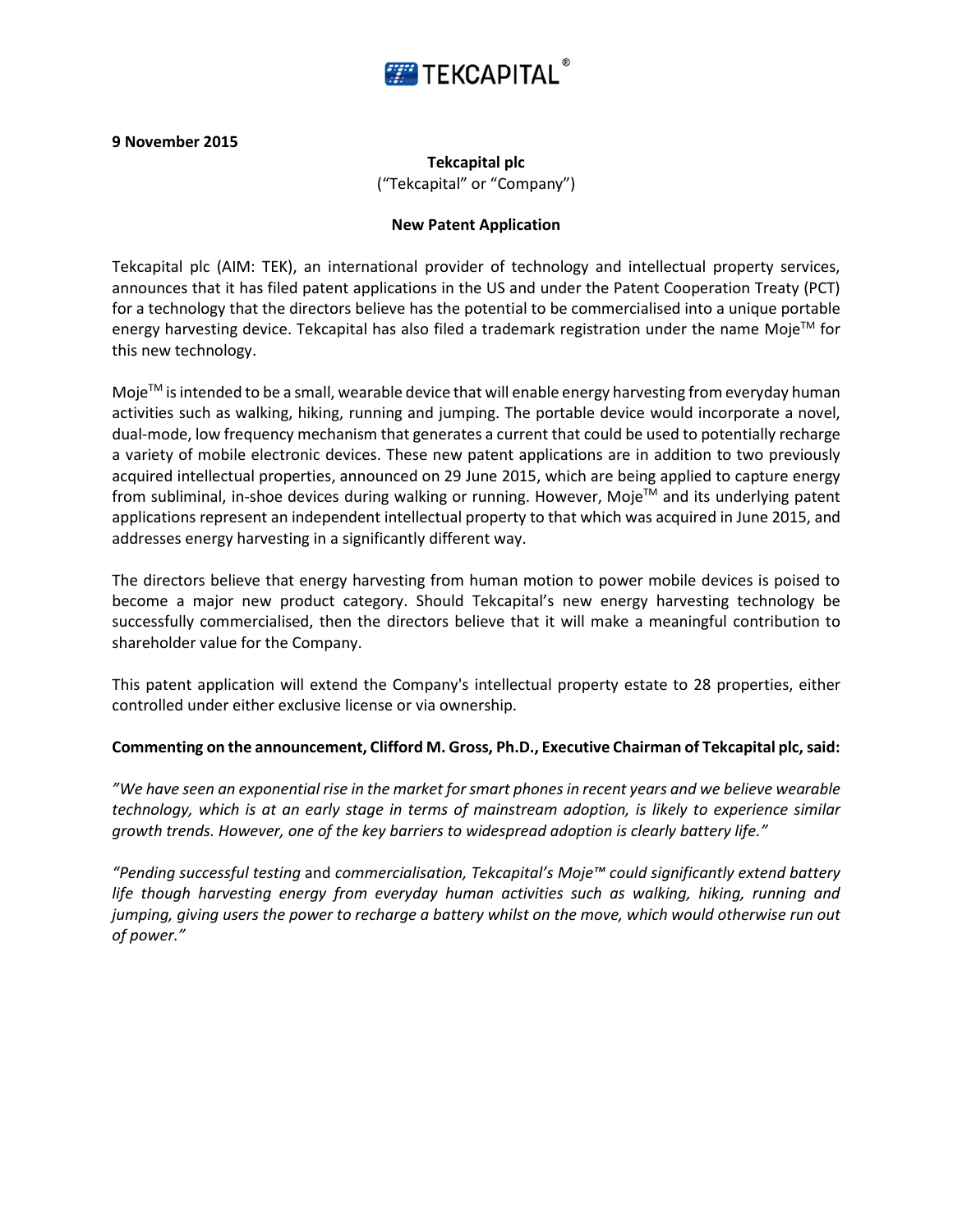

## **9 November 2015**

**Tekcapital plc** ("Tekcapital" or "Company")

## **New Patent Application**

Tekcapital plc (AIM: TEK), an international provider of technology and intellectual property services, announces that it has filed patent applications in the US and under the Patent Cooperation Treaty (PCT) for a technology that the directors believe has the potential to be commercialised into a unique portable energy harvesting device. Tekcapital has also filed a trademark registration under the name Moje™ for this new technology.

Moje $TM$  is intended to be a small, wearable device that will enable energy harvesting from everyday human activities such as walking, hiking, running and jumping. The portable device would incorporate a novel, dual-mode, low frequency mechanism that generates a current that could be used to potentially recharge a variety of mobile electronic devices. These new patent applications are in addition to two previously acquired intellectual properties, announced on 29 June 2015, which are being applied to capture energy from subliminal, in-shoe devices during walking or running. However, Moje™ and its underlying patent applications represent an independent intellectual property to that which was acquired in June 2015, and addresses energy harvesting in a significantly different way.

The directors believe that energy harvesting from human motion to power mobile devices is poised to become a major new product category. Should Tekcapital's new energy harvesting technology be successfully commercialised, then the directors believe that it will make a meaningful contribution to shareholder value for the Company.

This patent application will extend the Company's intellectual property estate to 28 properties, either controlled under either exclusive license or via ownership.

## **Commenting on the announcement, Clifford M. Gross, Ph.D., Executive Chairman of Tekcapital plc, said:**

*"We have seen an exponential rise in the market for smart phones in recent years and we believe wearable technology, which is at an early stage in terms of mainstream adoption, is likely to experience similar growth trends. However, one of the key barriers to widespread adoption is clearly battery life."*

*"Pending successful testing* and *commercialisation, Tekcapital's Moje™ could significantly extend battery life though harvesting energy from everyday human activities such as walking, hiking, running and jumping, giving users the power to recharge a battery whilst on the move, which would otherwise run out of power."*